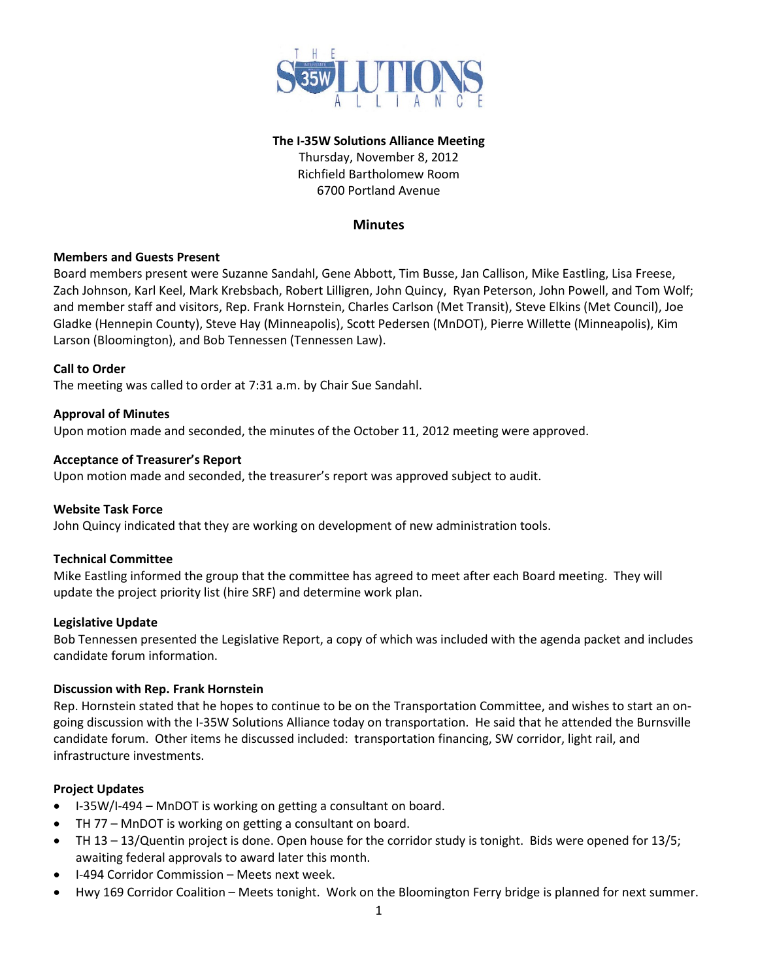

#### **The I-35W Solutions Alliance Meeting**

Thursday, November 8, 2012 Richfield Bartholomew Room 6700 Portland Avenue

## **Minutes**

## **Members and Guests Present**

Board members present were Suzanne Sandahl, Gene Abbott, Tim Busse, Jan Callison, Mike Eastling, Lisa Freese, Zach Johnson, Karl Keel, Mark Krebsbach, Robert Lilligren, John Quincy, Ryan Peterson, John Powell, and Tom Wolf; and member staff and visitors, Rep. Frank Hornstein, Charles Carlson (Met Transit), Steve Elkins (Met Council), Joe Gladke (Hennepin County), Steve Hay (Minneapolis), Scott Pedersen (MnDOT), Pierre Willette (Minneapolis), Kim Larson (Bloomington), and Bob Tennessen (Tennessen Law).

#### **Call to Order**

The meeting was called to order at 7:31 a.m. by Chair Sue Sandahl.

## **Approval of Minutes**

Upon motion made and seconded, the minutes of the October 11, 2012 meeting were approved.

#### **Acceptance of Treasurer's Report**

Upon motion made and seconded, the treasurer's report was approved subject to audit.

## **Website Task Force**

John Quincy indicated that they are working on development of new administration tools.

## **Technical Committee**

Mike Eastling informed the group that the committee has agreed to meet after each Board meeting. They will update the project priority list (hire SRF) and determine work plan.

#### **Legislative Update**

Bob Tennessen presented the Legislative Report, a copy of which was included with the agenda packet and includes candidate forum information.

#### **Discussion with Rep. Frank Hornstein**

Rep. Hornstein stated that he hopes to continue to be on the Transportation Committee, and wishes to start an ongoing discussion with the I-35W Solutions Alliance today on transportation. He said that he attended the Burnsville candidate forum. Other items he discussed included: transportation financing, SW corridor, light rail, and infrastructure investments.

## **Project Updates**

- I-35W/I-494 MnDOT is working on getting a consultant on board.
- TH 77 MnDOT is working on getting a consultant on board.
- TH 13 13/Quentin project is done. Open house for the corridor study is tonight. Bids were opened for 13/5; awaiting federal approvals to award later this month.
- I-494 Corridor Commission Meets next week.
- Hwy 169 Corridor Coalition Meets tonight. Work on the Bloomington Ferry bridge is planned for next summer.